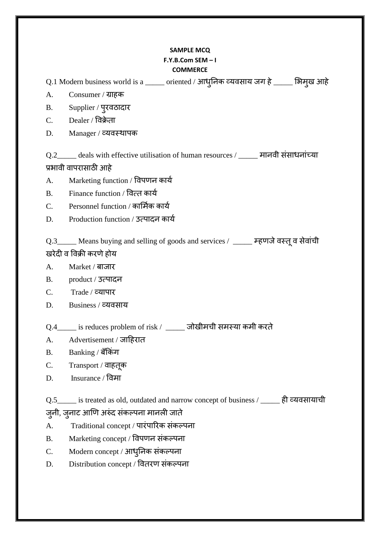## **SAMPLE MCQ**  $F.Y.B.Com SEM-I$ **COMMERCE**

Q.1 Modern business world is a \_\_\_\_\_ oriented / आधुनिक व्यवसाय जग हे \_\_\_\_\_ भिमुख आहे

- $\mathbf{A}$ . Consumer / ग्राहक
- $B<sub>1</sub>$ Supplier / पुरवठादार
- $C_{\cdot}$ Dealer / विक्रेता
- Manager / व्यवस्थापक D.

Q.2\_\_\_\_\_ deals with effective utilisation of human resources / \_\_\_\_\_ मानवी संसाधनांच्या प्रभावी वापरासाठी आहे

- Marketing function / विपणन कार्य  $\mathbf{A}$ .
- Finance function / वित्त कार्य  $\mathbf{R}$
- Personnel function / कार्मिक कार्य  $C_{\cdot}$
- Production function / उत्पादन कार्य D.

Q.3 \_\_\_\_ Means buying and selling of goods and services / \_\_\_\_\_ म्हणजे वस्तू व सेवांची खरेदी व विक्री करणे होय

- $A<sub>1</sub>$ Market / बाजार
- $\mathbf{B}$ product / उत्पादन
- $\mathsf{C}$  $\mathrm{Trade} \, / \,$  व्यापार
- D. Business / व्यवसाय
- Q.4 is reduces problem of risk / \_\_\_\_\_ जोखीमची समस्या कमी करते
- Advertisement / जाहिरात  $A_{\cdot}$
- Banking / बँकिंग  $B<sub>1</sub>$
- $C_{\cdot}$ Transport / वाहतूक
- Insurance / विमा D.

Q.5\_\_\_\_\_ is treated as old, outdated and narrow concept of business / \_\_\_\_\_ ही व्यवसायाची

- ज़्नी, ज़्नाट आणि अरुंद संकल्पना मानली जाते
- Traditional concept / पारंपारिक संकल्पना  $A<sub>1</sub>$
- Marketing concept / विपणन संकल्पना  $B.$
- Modern concept / आधुनिक संकल्पना  $C_{\cdot}$
- Distribution concept / वितरण संकल्पना D.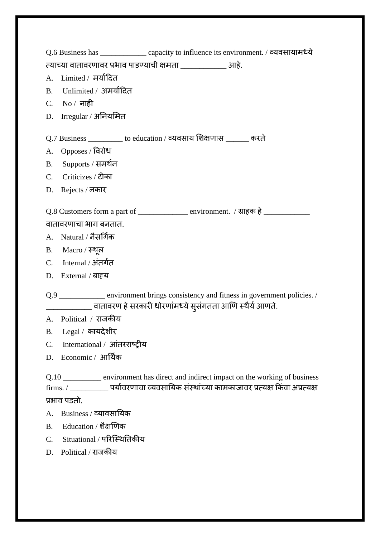|                                                                                         | Q.6 Business has _______________ capacity to influence its environment. / व्यवसायामध्ये                                                                                                                |  |
|-----------------------------------------------------------------------------------------|--------------------------------------------------------------------------------------------------------------------------------------------------------------------------------------------------------|--|
|                                                                                         |                                                                                                                                                                                                        |  |
|                                                                                         | A. Limited / मर्यादित                                                                                                                                                                                  |  |
|                                                                                         | B. Unlimited / अमर्यादित                                                                                                                                                                               |  |
|                                                                                         | C. No $/$ नाही                                                                                                                                                                                         |  |
|                                                                                         | D. Irregular / अनियमित                                                                                                                                                                                 |  |
| Q.7 Business ___________ to education / व्यवसाय शिक्षणास ______ करते                    |                                                                                                                                                                                                        |  |
|                                                                                         | A. Opposes / विरोध                                                                                                                                                                                     |  |
|                                                                                         | B. Supports / समर्थन                                                                                                                                                                                   |  |
|                                                                                         | C. Criticizes / टीका                                                                                                                                                                                   |  |
|                                                                                         | D. Rejects / नकार                                                                                                                                                                                      |  |
| Q.8 Customers form a part of ________________ environment. / ग्राहक हे ________________ |                                                                                                                                                                                                        |  |
| वातावरणाचा भाग बनतात.                                                                   |                                                                                                                                                                                                        |  |
|                                                                                         | A. Natural / नैसर्गिक                                                                                                                                                                                  |  |
|                                                                                         | B. Macro / स्थूल                                                                                                                                                                                       |  |
|                                                                                         | C. Internal / अंतर्गत                                                                                                                                                                                  |  |
|                                                                                         | D. External / बाह्य                                                                                                                                                                                    |  |
|                                                                                         | Q.9 __________ environment brings consistency and fitness in government policies. /<br>________________ वातावरण हे सरकारी धोरणांमध्ये सुसंगतता आणि स्थैर्य आणते.                                       |  |
|                                                                                         | A. Political / राजकीय                                                                                                                                                                                  |  |
|                                                                                         | B. Legal / कायदेशीर                                                                                                                                                                                    |  |
|                                                                                         | C. International / आंतरराष्ट्रीय                                                                                                                                                                       |  |
|                                                                                         | D. Economic / आर्थिक                                                                                                                                                                                   |  |
|                                                                                         | Q.10 __________ environment has direct and indirect impact on the working of business<br>firms. / _____________ पर्यावरणाचा व्यवसायिक संस्थांच्या कामकाजावर प्रत्यक्ष किंवा अप्रत्यक्ष<br>प्रभाव पडतो. |  |
|                                                                                         | A. Business / व्यावसायिक                                                                                                                                                                               |  |
|                                                                                         | B. Education / शैक्षणिक                                                                                                                                                                                |  |
| $C_{\cdot}$                                                                             | Situational / परिस्थितिकीय                                                                                                                                                                             |  |

D. Political / याजकीम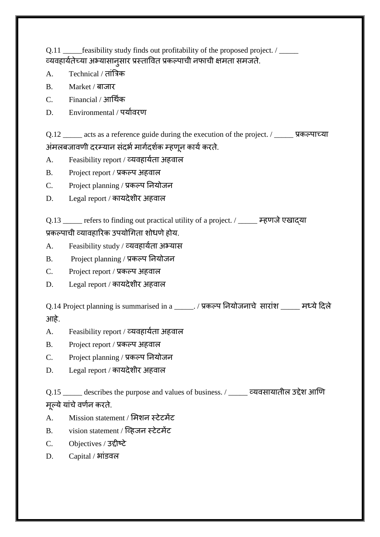Q.11 \_\_\_\_\_feasibility study finds out profitability of the proposed project. / \_\_\_\_\_ व्यवहार्यतेच्या अभ्यासानुसार प्रस्तावित प्रकल्पाची नफाची क्षमता समजते.

- A. Technical / तांत्रिक
- B. Market / फाजाय
- C. Financial / आर्थयक
- D. Environmental / पर्यावरण

Q.12 \_\_\_\_\_ acts as a reference guide during the execution of the project. / \_\_\_\_\_ प्रकल्पाच्या अंमलबजावणी दरम्यान संदर्भ मार्गदर्शक म्हणून कार्य करते.

- A. Feasibility report / व्यवहार्यता अहवाल
- B. Project report / प्रकल्प अहवाल
- C. Project planning / प्रकल्प नियोजन
- D. Legal report / कायदेशीर अहवाल

Q.13 \_\_\_\_\_ refers to finding out practical utility of a project. / \_\_\_\_\_ म्हणजेएखाद्मा प्रकल्पाची व्यावहारिक उपयोगिता शोधणे होय.

- A. Feasibility study / व्मलहामयता अभ्मास
- B. Project planning / प्रकल्प नियोजन
- C. Project report / प्रकल्प अहवाल
- D. Legal report / कायदेशीर अहवाल

Q.14 Project planning is summarised in a \_\_\_\_\_\_. / प्रकल्प नियोजनाचे सारांश \_\_\_\_\_ मध्ये दिले आहे.

- A. Feasibility report / व्यवहार्यता अहवाल
- B. Project report / प्रकल्प अहवाल
- C. Project planning / प्रकल्प नियोजन
- D. Legal report / कायदेशीर अहवाल

Q.15 \_\_\_\_\_\_ describes the purpose and values of business. / \_\_\_\_\_\_ व्यवसायातील उद्देश आणि मल्ये यांचे वर्णन करते.

- A. Mission statement / मिशन स्टेटमेंट
- B. vision statement / स्व्हजन स्टेटभेंट
- C. Objectives / उद्दीष्ट्टे
- $D.$  Capital / भांडवल